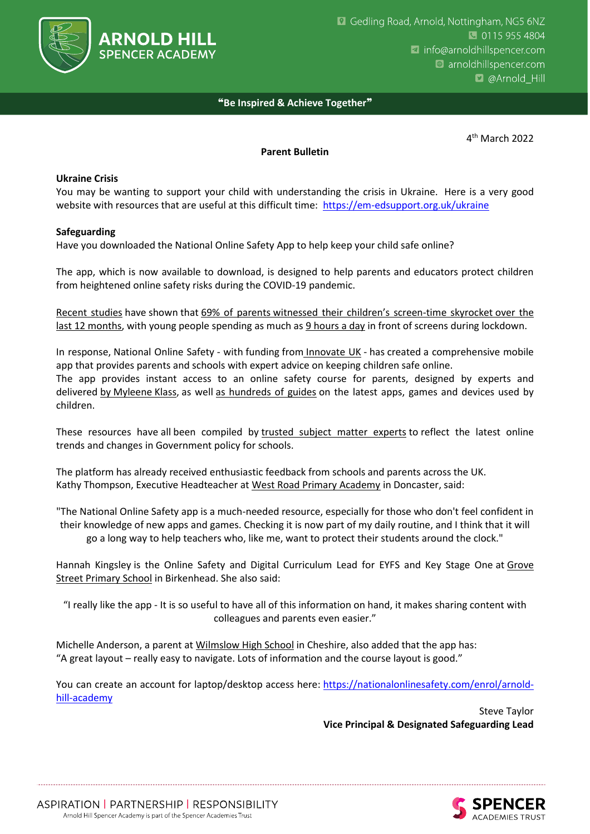

# ❝**Be Inspired & Achieve Together**❞

4 th March 2022

### **Parent Bulletin**

### **Ukraine Crisis**

You may be wanting to support your child with understanding the crisis in Ukraine. Here is a very good website with resources that are useful at this difficult time:<https://em-edsupport.org.uk/ukraine>

### **Safeguarding**

Have you downloaded the National Online Safety App to help keep your child safe online?

The app, which is now available to download, is designed to help parents and educators protect children from heightened online safety risks during the COVID-19 pandemic.

[Recent studies](https://www.businesswire.com/news/home/20200831005132/en/) have shown that 69% of parents [witnessed their children's screen](https://www.techadvisor.co.uk/news/security/kids-spent-over-9-hours-on-screens-during-lockdown-3796986/)-time skyrocket over the [last 12 months,](https://www.techadvisor.co.uk/news/security/kids-spent-over-9-hours-on-screens-during-lockdown-3796986/) with young people spending as much as [9 hours a day](https://www.techadvisor.co.uk/news/security/kids-spent-over-9-hours-on-screens-during-lockdown-3796986/) in front of screens during lockdown.

In response, National Online Safety - with funding from [Innovate UK](https://www.gov.uk/government/organisations/innovate-uk) - has created a comprehensive mobile app that provides parents and schools with expert advice on keeping children safe online. The app provides instant access to an online safety course for parents, designed by experts and delivered by [Myleene](https://info.nationalonlinesafety.com/free-parents-course) Klass, as well [as hundreds of guides](https://nationalonlinesafety.com/guides) on the latest apps, games and devices used by children.

These resources have all been compiled by [trusted subject matter experts](https://nationalonlinesafety.com/experts) to reflect the latest online trends and changes in Government policy for schools.

The platform has already received enthusiastic feedback from schools and parents across the UK. Kathy Thompson, Executive Headteacher at [West Road Primary Academy](http://westroadprimary.co.uk/) in Doncaster, said:

"The National Online Safety app is a much-needed resource, especially for those who don't feel confident in their knowledge of new apps and games. Checking it is now part of my daily routine, and I think that it will go a long way to help teachers who, like me, want to protect their students around the clock."

Hannah Kingsley is the Online Safety and Digital Curriculum Lead for EYFS and Key Stage One at Grove Street [Primary School](https://www.grovestreetprimaryschool.co.uk/) in Birkenhead. She also said:

"I really like the app - It is so useful to have all of this information on hand, it makes sharing content with colleagues and parents even easier."

Michelle Anderson, a parent at [Wilmslow High School](https://www.wilmslowhigh.com/) in Cheshire, also added that the app has: "A great layout – really easy to navigate. Lots of information and the course layout is good."

You can create an account for laptop/desktop access here: [https://nationalonlinesafety.com/enrol/arnold](https://nationalonlinesafety.com/enrol/arnold-hill-academy)[hill-academy](https://nationalonlinesafety.com/enrol/arnold-hill-academy)

> Steve Taylor **Vice Principal & Designated Safeguarding Lead**